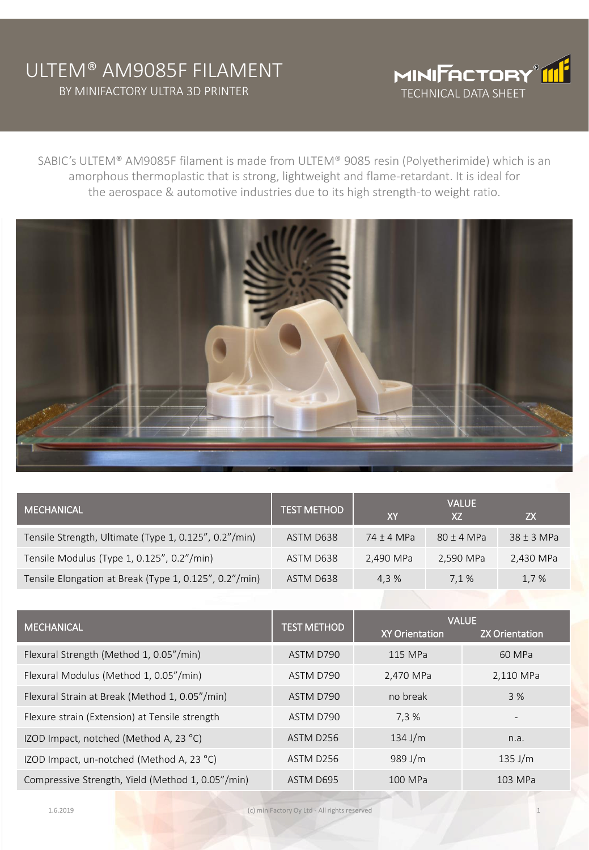## ULTEM® AM9085F FILAMENT BY MINIFACTORY ULTRA 3D PRINTER TECHNICAL DATA SHEET



SABIC's ULTEM® AM9085F filament is made from ULTEM® 9085 resin (Polyetherimide) which is an amorphous thermoplastic that is strong, lightweight and flame-retardant. It is ideal for the aerospace & automotive industries due to its high strength-to weight ratio.



| <b>MECHANICAL</b>                                      | <b>TEST METHOD</b> | XY           | <b>VALUE</b><br>X7 | ZΧ             |
|--------------------------------------------------------|--------------------|--------------|--------------------|----------------|
| Tensile Strength, Ultimate (Type 1, 0.125", 0.2"/min)  | ASTM D638          | $74 + 4 MPa$ | $80 \pm 4$ MPa     | $38 \pm 3$ MPa |
| Tensile Modulus (Type 1, 0.125", 0.2"/min)             | ASTM D638          | 2,490 MPa    | 2,590 MPa          | 2,430 MPa      |
| Tensile Elongation at Break (Type 1, 0.125", 0.2"/min) | ASTM D638          | 4.3 %        | 7.1 %              | 1,7 %          |

| <b>MECHANICAL</b><br><b>TEST METHOD</b>           |           | <b>VALUE</b>          |                       |  |
|---------------------------------------------------|-----------|-----------------------|-----------------------|--|
|                                                   |           | <b>XY Orientation</b> | <b>ZX Orientation</b> |  |
| Flexural Strength (Method 1, 0.05"/min)           | ASTM D790 | 115 MPa               | 60 MPa                |  |
| Flexural Modulus (Method 1, 0.05"/min)            | ASTM D790 | 2,470 MPa             | 2,110 MPa             |  |
| Flexural Strain at Break (Method 1, 0.05"/min)    | ASTM D790 | no break              | 3%                    |  |
| Flexure strain (Extension) at Tensile strength    | ASTM D790 | 7.3%                  |                       |  |
| IZOD Impact, notched (Method A, 23 °C)            | ASTM D256 | $134$ J/m             | n.a.                  |  |
| IZOD Impact, un-notched (Method A, 23 °C)         | ASTM D256 | 989 J/m               | $135$ J/m             |  |
| Compressive Strength, Yield (Method 1, 0.05"/min) | ASTM D695 | 100 MPa               | 103 MPa               |  |